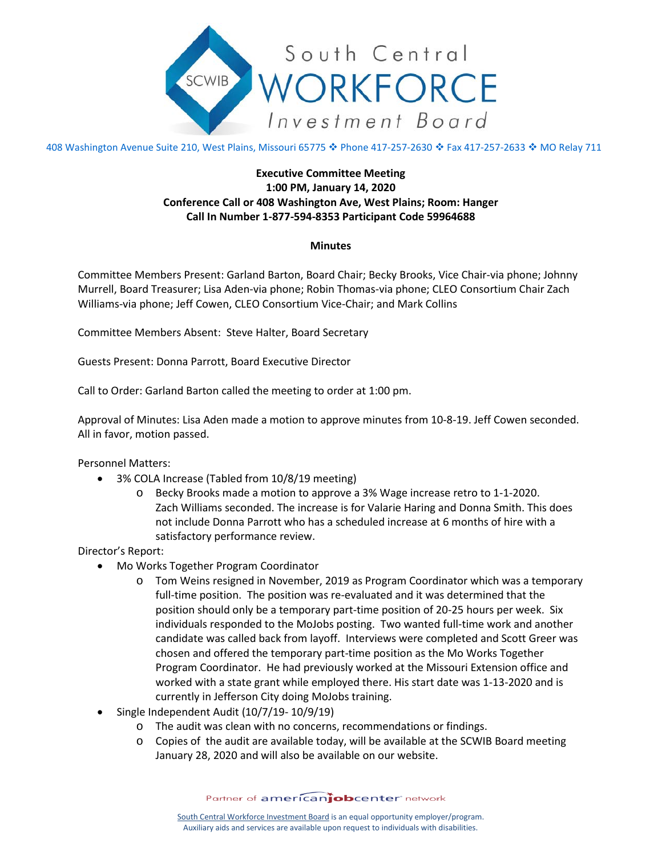

408 Washington Avenue Suite 210, West Plains, Missouri 65775 � Phone 417-257-2630 � Fax 417-257-2633 � MO Relay 711

## **Executive Committee Meeting 1:00 PM, January 14, 2020 Conference Call or 408 Washington Ave, West Plains; Room: Hanger Call In Number 1-877-594-8353 Participant Code 59964688**

## **Minutes**

Committee Members Present: Garland Barton, Board Chair; Becky Brooks, Vice Chair-via phone; Johnny Murrell, Board Treasurer; Lisa Aden-via phone; Robin Thomas-via phone; CLEO Consortium Chair Zach Williams-via phone; Jeff Cowen, CLEO Consortium Vice-Chair; and Mark Collins

Committee Members Absent: Steve Halter, Board Secretary

Guests Present: Donna Parrott, Board Executive Director

Call to Order: Garland Barton called the meeting to order at 1:00 pm.

Approval of Minutes: Lisa Aden made a motion to approve minutes from 10-8-19. Jeff Cowen seconded. All in favor, motion passed.

Personnel Matters:

- 3% COLA Increase (Tabled from 10/8/19 meeting)
	- o Becky Brooks made a motion to approve a 3% Wage increase retro to 1-1-2020. Zach Williams seconded. The increase is for Valarie Haring and Donna Smith. This does not include Donna Parrott who has a scheduled increase at 6 months of hire with a satisfactory performance review.

Director's Report:

- Mo Works Together Program Coordinator
	- o Tom Weins resigned in November, 2019 as Program Coordinator which was a temporary full-time position. The position was re-evaluated and it was determined that the position should only be a temporary part-time position of 20-25 hours per week. Six individuals responded to the MoJobs posting. Two wanted full-time work and another candidate was called back from layoff. Interviews were completed and Scott Greer was chosen and offered the temporary part-time position as the Mo Works Together Program Coordinator. He had previously worked at the Missouri Extension office and worked with a state grant while employed there. His start date was 1-13-2020 and is currently in Jefferson City doing MoJobs training.
- Single Independent Audit (10/7/19- 10/9/19)
	- o The audit was clean with no concerns, recommendations or findings.
	- o Copies of the audit are available today, will be available at the SCWIB Board meeting January 28, 2020 and will also be available on our website.

Partner of americanjobcenter network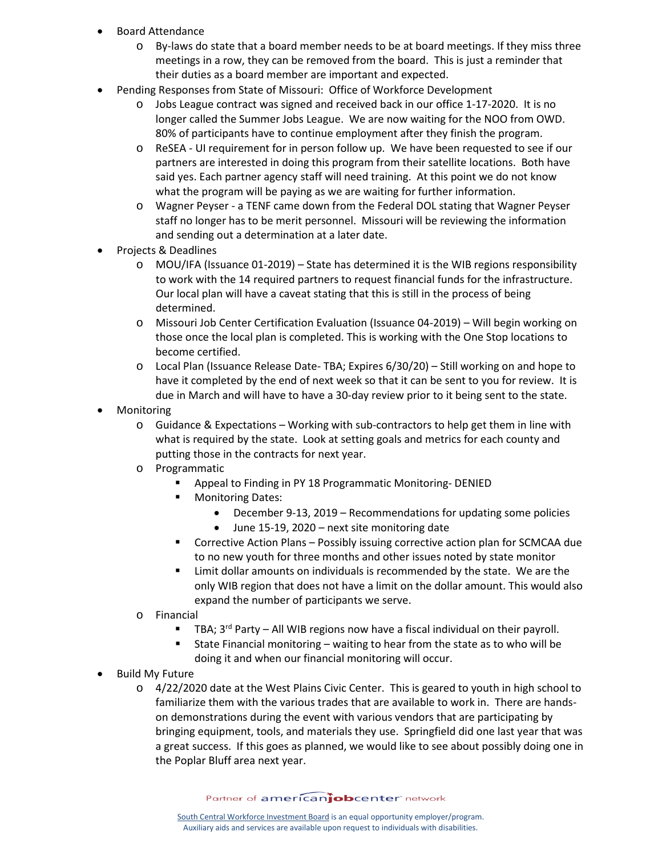- Board Attendance
	- o By-laws do state that a board member needs to be at board meetings. If they miss three meetings in a row, they can be removed from the board. This is just a reminder that their duties as a board member are important and expected.
- Pending Responses from State of Missouri: Office of Workforce Development
	- o Jobs League contract was signed and received back in our office 1-17-2020. It is no longer called the Summer Jobs League. We are now waiting for the NOO from OWD. 80% of participants have to continue employment after they finish the program.
	- o ReSEA UI requirement for in person follow up. We have been requested to see if our partners are interested in doing this program from their satellite locations. Both have said yes. Each partner agency staff will need training. At this point we do not know what the program will be paying as we are waiting for further information.
	- o Wagner Peyser a TENF came down from the Federal DOL stating that Wagner Peyser staff no longer has to be merit personnel. Missouri will be reviewing the information and sending out a determination at a later date.
- Projects & Deadlines
	- o MOU/IFA (Issuance 01-2019) State has determined it is the WIB regions responsibility to work with the 14 required partners to request financial funds for the infrastructure. Our local plan will have a caveat stating that this is still in the process of being determined.
	- o Missouri Job Center Certification Evaluation (Issuance 04-2019) Will begin working on those once the local plan is completed. This is working with the One Stop locations to become certified.
	- o Local Plan (Issuance Release Date- TBA; Expires 6/30/20) Still working on and hope to have it completed by the end of next week so that it can be sent to you for review. It is due in March and will have to have a 30-day review prior to it being sent to the state.
- **Monitoring** 
	- $\circ$  Guidance & Expectations Working with sub-contractors to help get them in line with what is required by the state. Look at setting goals and metrics for each county and putting those in the contracts for next year.
	- o Programmatic
		- Appeal to Finding in PY 18 Programmatic Monitoring- DENIED
		- Monitoring Dates:
			- December 9-13, 2019 Recommendations for updating some policies
			- June 15-19, 2020 next site monitoring date
		- Corrective Action Plans Possibly issuing corrective action plan for SCMCAA due to no new youth for three months and other issues noted by state monitor
		- Limit dollar amounts on individuals is recommended by the state. We are the only WIB region that does not have a limit on the dollar amount. This would also expand the number of participants we serve.
	- o Financial<br>T
		- TBA;  $3^{rd}$  Party All WIB regions now have a fiscal individual on their payroll.
		- State Financial monitoring waiting to hear from the state as to who will be doing it and when our financial monitoring will occur.
- Build My Future
	- o 4/22/2020 date at the West Plains Civic Center. This is geared to youth in high school to familiarize them with the various trades that are available to work in. There are handson demonstrations during the event with various vendors that are participating by bringing equipment, tools, and materials they use. Springfield did one last year that was a great success. If this goes as planned, we would like to see about possibly doing one in the Poplar Bluff area next year.

Partner of americanjobcenter network